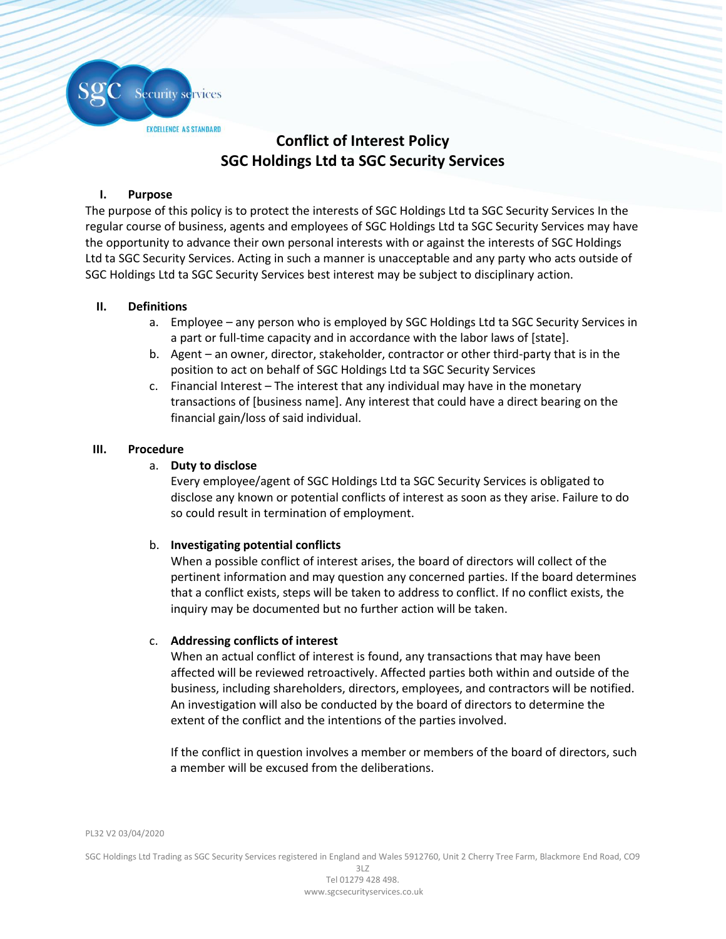

# **Conflict of Interest Policy SGC Holdings Ltd ta SGC Security Services**

## **I. Purpose**

The purpose of this policy is to protect the interests of SGC Holdings Ltd ta SGC Security Services In the regular course of business, agents and employees of SGC Holdings Ltd ta SGC Security Services may have the opportunity to advance their own personal interests with or against the interests of SGC Holdings Ltd ta SGC Security Services. Acting in such a manner is unacceptable and any party who acts outside of SGC Holdings Ltd ta SGC Security Services best interest may be subject to disciplinary action.

## **II. Definitions**

- a. Employee any person who is employed by SGC Holdings Ltd ta SGC Security Services in a part or full-time capacity and in accordance with the labor laws of [state].
- b. Agent an owner, director, stakeholder, contractor or other third-party that is in the position to act on behalf of SGC Holdings Ltd ta SGC Security Services
- c. Financial Interest The interest that any individual may have in the monetary transactions of [business name]. Any interest that could have a direct bearing on the financial gain/loss of said individual.

## **III. Procedure**

## a. **Duty to disclose**

Every employee/agent of SGC Holdings Ltd ta SGC Security Services is obligated to disclose any known or potential conflicts of interest as soon as they arise. Failure to do so could result in termination of employment.

# b. **Investigating potential conflicts**

When a possible conflict of interest arises, the board of directors will collect of the pertinent information and may question any concerned parties. If the board determines that a conflict exists, steps will be taken to address to conflict. If no conflict exists, the inquiry may be documented but no further action will be taken.

# c. **Addressing conflicts of interest**

When an actual conflict of interest is found, any transactions that may have been affected will be reviewed retroactively. Affected parties both within and outside of the business, including shareholders, directors, employees, and contractors will be notified. An investigation will also be conducted by the board of directors to determine the extent of the conflict and the intentions of the parties involved.

If the conflict in question involves a member or members of the board of directors, such a member will be excused from the deliberations.

PL32 V2 03/04/2020

SGC Holdings Ltd Trading as SGC Security Services registered in England and Wales 5912760, Unit 2 Cherry Tree Farm, Blackmore End Road, CO9

3LZ Tel 01279 428 498. www.sgcsecurityservices.co.uk